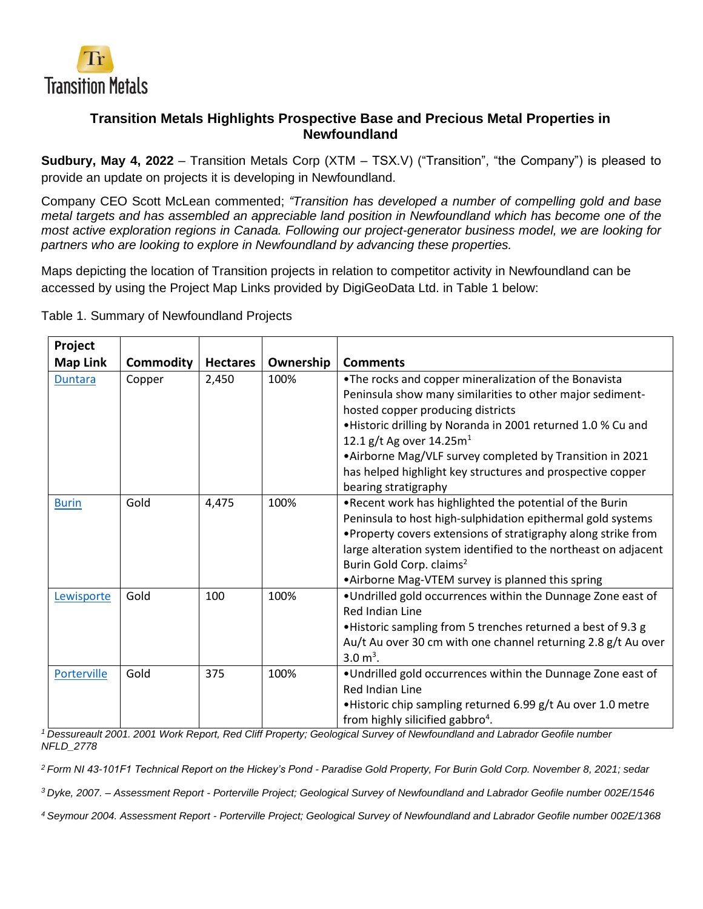

# **Transition Metals Highlights Prospective Base and Precious Metal Properties in Newfoundland**

**Sudbury, May 4, 2022** – Transition Metals Corp (XTM – TSX.V) ("Transition", "the Company") is pleased to provide an update on projects it is developing in Newfoundland.

Company CEO Scott McLean commented; *"Transition has developed a number of compelling gold and base metal targets and has assembled an appreciable land position in Newfoundland which has become one of the most active exploration regions in Canada. Following our project-generator business model, we are looking for partners who are looking to explore in Newfoundland by advancing these properties.*

Maps depicting the location of Transition projects in relation to competitor activity in Newfoundland can be accessed by using the Project Map Links provided by DigiGeoData Ltd. in Table 1 below:

| Project         |           |                 |           |                                                                                                                                                                                                                                                                                                                                                                                                          |
|-----------------|-----------|-----------------|-----------|----------------------------------------------------------------------------------------------------------------------------------------------------------------------------------------------------------------------------------------------------------------------------------------------------------------------------------------------------------------------------------------------------------|
| <b>Map Link</b> | Commodity | <b>Hectares</b> | Ownership | <b>Comments</b>                                                                                                                                                                                                                                                                                                                                                                                          |
| <b>Duntara</b>  | Copper    | 2,450           | 100%      | . The rocks and copper mineralization of the Bonavista<br>Peninsula show many similarities to other major sediment-<br>hosted copper producing districts<br>• Historic drilling by Noranda in 2001 returned 1.0 % Cu and<br>12.1 g/t Ag over $14.25m1$<br>•Airborne Mag/VLF survey completed by Transition in 2021<br>has helped highlight key structures and prospective copper<br>bearing stratigraphy |
| <b>Burin</b>    | Gold      | 4,475           | 100%      | . Recent work has highlighted the potential of the Burin<br>Peninsula to host high-sulphidation epithermal gold systems<br>• Property covers extensions of stratigraphy along strike from<br>large alteration system identified to the northeast on adjacent<br>Burin Gold Corp. claims <sup>2</sup><br>• Airborne Mag-VTEM survey is planned this spring                                                |
| Lewisporte      | Gold      | 100             | 100%      | . Undrilled gold occurrences within the Dunnage Zone east of<br><b>Red Indian Line</b><br>. Historic sampling from 5 trenches returned a best of 9.3 g<br>Au/t Au over 30 cm with one channel returning 2.8 g/t Au over<br>3.0 $m^3$ .                                                                                                                                                                   |
| Porterville     | Gold      | 375             | 100%      | . Undrilled gold occurrences within the Dunnage Zone east of<br><b>Red Indian Line</b><br>. Historic chip sampling returned 6.99 g/t Au over 1.0 metre<br>from highly silicified gabbro <sup>4</sup> .                                                                                                                                                                                                   |

Table 1. Summary of Newfoundland Projects

*<sup>1</sup> Dessureault 2001. 2001 Work Report, Red Cliff Property; Geological Survey of Newfoundland and Labrador Geofile number NFLD\_2778*

*<sup>2</sup> Form NI 43-101F1 Technical Report on the Hickey's Pond - Paradise Gold Property, For Burin Gold Corp. November 8, 2021; sedar*

*<sup>3</sup> Dyke, 2007. – Assessment Report - Porterville Project; Geological Survey of Newfoundland and Labrador Geofile number 002E/1546*

*<sup>4</sup> Seymour 2004. Assessment Report - Porterville Project; Geological Survey of Newfoundland and Labrador Geofile number 002E/1368*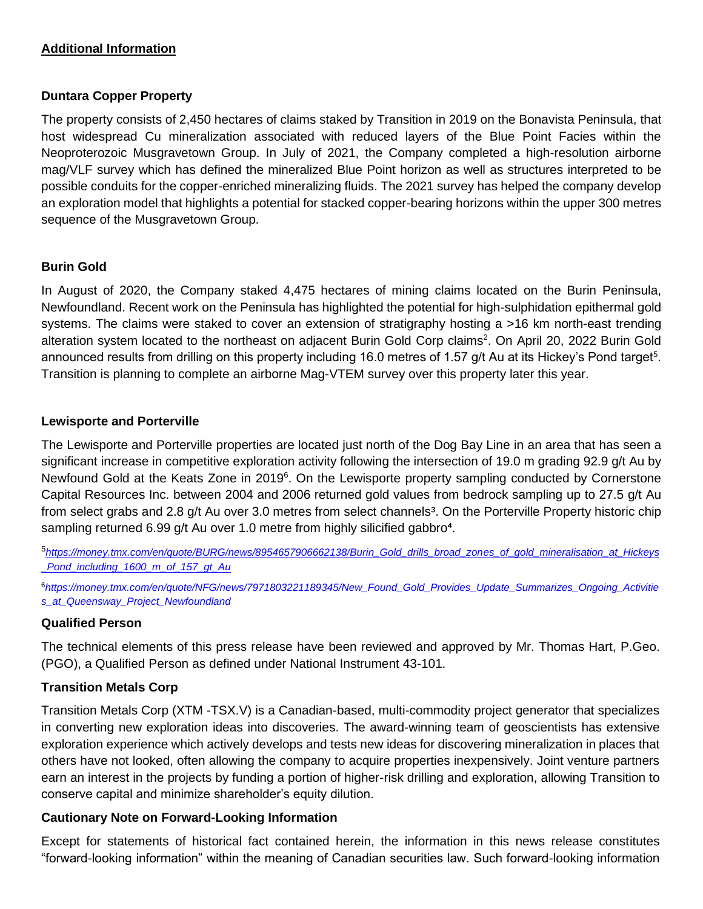### **Additional Information**

### **Duntara Copper Property**

The property consists of 2,450 hectares of claims staked by Transition in 2019 on the Bonavista Peninsula, that host widespread Cu mineralization associated with reduced layers of the Blue Point Facies within the Neoproterozoic Musgravetown Group. In July of 2021, the Company completed a high-resolution airborne mag/VLF survey which has defined the mineralized Blue Point horizon as well as structures interpreted to be possible conduits for the copper-enriched mineralizing fluids. The 2021 survey has helped the company develop an exploration model that highlights a potential for stacked copper-bearing horizons within the upper 300 metres sequence of the Musgravetown Group.

## **Burin Gold**

In August of 2020, the Company staked 4,475 hectares of mining claims located on the Burin Peninsula, Newfoundland. Recent work on the Peninsula has highlighted the potential for high-sulphidation epithermal gold systems. The claims were staked to cover an extension of stratigraphy hosting a >16 km north-east trending alteration system located to the northeast on adjacent Burin Gold Corp claims<sup>2</sup>. On April 20, 2022 Burin Gold announced results from drilling on this property including 16.0 metres of 1.57 g/t Au at its Hickey's Pond target<sup>5</sup>. Transition is planning to complete an airborne Mag-VTEM survey over this property later this year.

## **Lewisporte and Porterville**

The Lewisporte and Porterville properties are located just north of the Dog Bay Line in an area that has seen a significant increase in competitive exploration activity following the intersection of 19.0 m grading 92.9 g/t Au by Newfound Gold at the Keats Zone in 2019<sup>6</sup>. On the Lewisporte property sampling conducted by Cornerstone Capital Resources Inc. between 2004 and 2006 returned gold values from bedrock sampling up to 27.5 g/t Au from select grabs and 2.8 g/t Au over 3.0 metres from select channels<sup>3</sup>. On the Porterville Property historic chip sampling returned 6.99 g/t Au over 1.0 metre from highly silicified gabbro<sup>4</sup>.

5 *[https://money.tmx.com/en/quote/BURG/news/8954657906662138/Burin\\_Gold\\_drills\\_broad\\_zones\\_of\\_gold\\_mineralisation\\_at\\_Hickeys](https://money.tmx.com/en/quote/BURG/news/8954657906662138/Burin_Gold_drills_broad_zones_of_gold_mineralisation_at_Hickeys_Pond_including_1600_m_of_157_gt_Au) [\\_Pond\\_including\\_1600\\_m\\_of\\_157\\_gt\\_Au](https://money.tmx.com/en/quote/BURG/news/8954657906662138/Burin_Gold_drills_broad_zones_of_gold_mineralisation_at_Hickeys_Pond_including_1600_m_of_157_gt_Au)*

<sup>6</sup>*[https://money.tmx.com/en/quote/NFG/news/7971803221189345/New\\_Found\\_Gold\\_Provides\\_Update\\_Summarizes\\_Ongoing\\_Activitie](https://money.tmx.com/en/quote/NFG/news/7971803221189345/New_Found_Gold_Provides_Update_Summarizes_Ongoing_Activities_at_Queensway_Project_Newfoundland) [s\\_at\\_Queensway\\_Project\\_Newfoundland](https://money.tmx.com/en/quote/NFG/news/7971803221189345/New_Found_Gold_Provides_Update_Summarizes_Ongoing_Activities_at_Queensway_Project_Newfoundland)*

### **Qualified Person**

The technical elements of this press release have been reviewed and approved by Mr. Thomas Hart, P.Geo. (PGO), a Qualified Person as defined under National Instrument 43-101.

### **Transition Metals Corp**

Transition Metals Corp (XTM -TSX.V) is a Canadian-based, multi-commodity project generator that specializes in converting new exploration ideas into discoveries. The award-winning team of geoscientists has extensive exploration experience which actively develops and tests new ideas for discovering mineralization in places that others have not looked, often allowing the company to acquire properties inexpensively. Joint venture partners earn an interest in the projects by funding a portion of higher-risk drilling and exploration, allowing Transition to conserve capital and minimize shareholder's equity dilution.

### **Cautionary Note on Forward-Looking Information**

Except for statements of historical fact contained herein, the information in this news release constitutes "forward-looking information" within the meaning of Canadian securities law. Such forward-looking information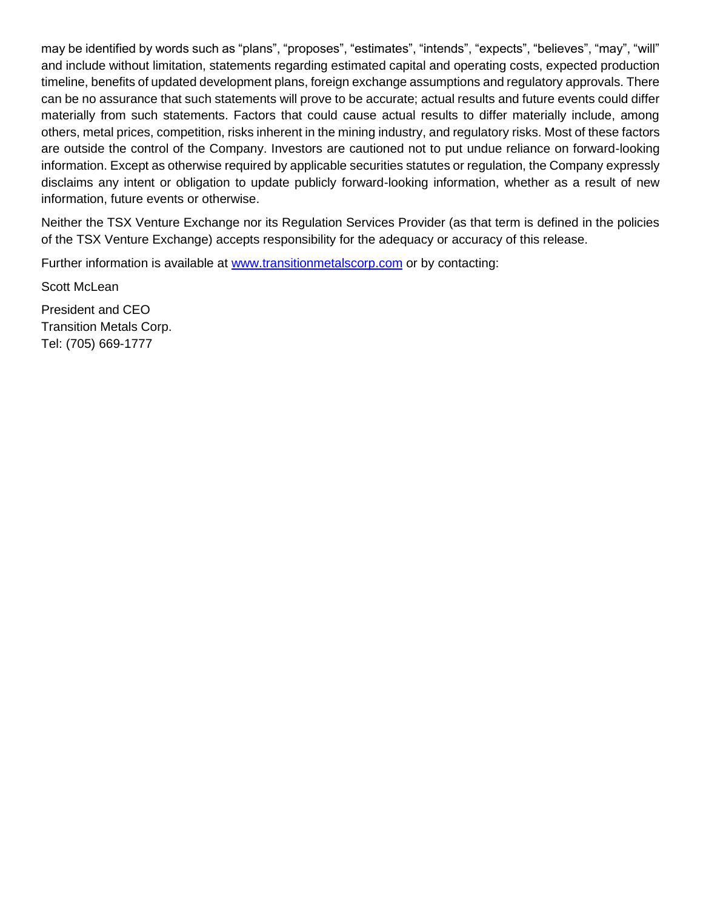may be identified by words such as "plans", "proposes", "estimates", "intends", "expects", "believes", "may", "will" and include without limitation, statements regarding estimated capital and operating costs, expected production timeline, benefits of updated development plans, foreign exchange assumptions and regulatory approvals. There can be no assurance that such statements will prove to be accurate; actual results and future events could differ materially from such statements. Factors that could cause actual results to differ materially include, among others, metal prices, competition, risks inherent in the mining industry, and regulatory risks. Most of these factors are outside the control of the Company. Investors are cautioned not to put undue reliance on forward-looking information. Except as otherwise required by applicable securities statutes or regulation, the Company expressly disclaims any intent or obligation to update publicly forward-looking information, whether as a result of new information, future events or otherwise.

Neither the TSX Venture Exchange nor its Regulation Services Provider (as that term is defined in the policies of the TSX Venture Exchange) accepts responsibility for the adequacy or accuracy of this release.

Further information is available at [www.transitionmetalscorp.com](http://www.transitionmetalscorp.com/) or by contacting:

Scott McLean

President and CEO Transition Metals Corp. Tel: (705) 669-1777